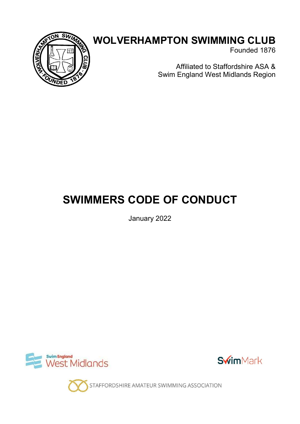

## WOLVERHAMPTON SWIMMING CLUB

Founded 1876

Affiliated to Staffordshire ASA & Swim England West Midlands Region

# SWIMMERS CODE OF CONDUCT

January 2022





STAFFORDSHIRE AMATEUR SWIMMING ASSOCIATION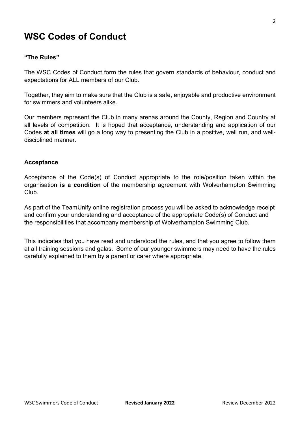### WSC Codes of Conduct

#### "The Rules"

The WSC Codes of Conduct form the rules that govern standards of behaviour, conduct and expectations for ALL members of our Club.

Together, they aim to make sure that the Club is a safe, enjoyable and productive environment for swimmers and volunteers alike.

Our members represent the Club in many arenas around the County, Region and Country at all levels of competition. It is hoped that acceptance, understanding and application of our Codes at all times will go a long way to presenting the Club in a positive, well run, and welldisciplined manner.

#### Acceptance

Acceptance of the Code(s) of Conduct appropriate to the role/position taken within the organisation is a condition of the membership agreement with Wolverhampton Swimming Club.

As part of the TeamUnify online registration process you will be asked to acknowledge receipt and confirm your understanding and acceptance of the appropriate Code(s) of Conduct and the responsibilities that accompany membership of Wolverhampton Swimming Club.

This indicates that you have read and understood the rules, and that you agree to follow them at all training sessions and galas. Some of our younger swimmers may need to have the rules carefully explained to them by a parent or carer where appropriate.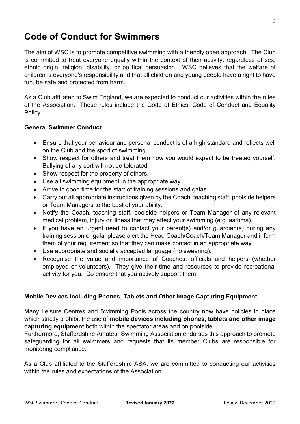## Code of Conduct for Swimmers

The aim of WSC is to promote competitive swimming with a friendly open approach. The Club is committed to treat everyone equally within the context of their activity, regardless of sex, ethnic origin, religion, disability, or political persuasion. WSC believes that the welfare of children is everyone's responsibility and that all children and young people have a right to have fun, be safe and protected from harm.

As a Club affiliated to Swim England, we are expected to conduct our activities within the rules of the Association. These rules include the Code of Ethics, Code of Conduct and Equality Policy.

#### General Swimmer Conduct

- Ensure that your behaviour and personal conduct is of a high standard and reflects well on the Club and the sport of swimming.
- Show respect for others and treat them how you would expect to be treated yourself. Bullying of any sort will not be tolerated.
- Show respect for the property of others.
- Use all swimming equipment in the appropriate way.
- Arrive in good time for the start of training sessions and galas.
- Carry out all appropriate instructions given by the Coach, teaching staff, poolside helpers or Team Managers to the best of your ability.
- Notify the Coach, teaching staff, poolside helpers or Team Manager of any relevant medical problem, injury or illness that may affect your swimming (e.g. asthma).
- If you have an urgent need to contact your parent(s) and/or guardian(s) during any training session or gala, please alert the Head Coach/Coach/Team Manager and inform them of your requirement so that they can make contact in an appropriate way.
- Use appropriate and socially accepted language (no swearing).
- Recognise the value and importance of Coaches, officials and helpers (whether employed or volunteers). They give their time and resources to provide recreational activity for you. Do ensure that you actively support them.

#### Mobile Devices including Phones, Tablets and Other Image Capturing Equipment

Many Leisure Centres and Swimming Pools across the country now have policies in place which strictly prohibit the use of mobile devices including phones, tablets and other image capturing equipment both within the spectator areas and on poolside.

Furthermore, Staffordshire Amateur Swimming Association endorses this approach to promote safeguarding for all swimmers and requests that its member Clubs are responsible for monitoring compliance.

As a Club affiliated to the Staffordshire ASA, we are committed to conducting our activities within the rules and expectations of the Association.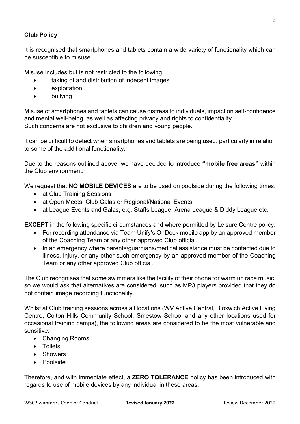#### Club Policy

It is recognised that smartphones and tablets contain a wide variety of functionality which can be susceptible to misuse.

Misuse includes but is not restricted to the following.

- taking of and distribution of indecent images
- exploitation
- bullying

Misuse of smartphones and tablets can cause distress to individuals, impact on self-confidence and mental well-being, as well as affecting privacy and rights to confidentiality. Such concerns are not exclusive to children and young people.

It can be difficult to detect when smartphones and tablets are being used, particularly in relation to some of the additional functionality.

Due to the reasons outlined above, we have decided to introduce "mobile free areas" within the Club environment.

We request that **NO MOBILE DEVICES** are to be used on poolside during the following times,

- at Club Training Sessions
- at Open Meets, Club Galas or Regional/National Events
- at League Events and Galas, e.g. Staffs League, Arena League & Diddy League etc.

EXCEPT in the following specific circumstances and where permitted by Leisure Centre policy.

- For recording attendance via Team Unify's OnDeck mobile app by an approved member of the Coaching Team or any other approved Club official.
- In an emergency where parents/guardians/medical assistance must be contacted due to illness, injury, or any other such emergency by an approved member of the Coaching Team or any other approved Club official.

The Club recognises that some swimmers like the facility of their phone for warm up race music, so we would ask that alternatives are considered, such as MP3 players provided that they do not contain image recording functionality.

Whilst at Club training sessions across all locations (WV Active Central, Bloxwich Active Living Centre, Colton Hills Community School, Smestow School and any other locations used for occasional training camps), the following areas are considered to be the most vulnerable and sensitive.

- Changing Rooms
- Toilets
- Showers
- Poolside

Therefore, and with immediate effect, a ZERO TOLERANCE policy has been introduced with regards to use of mobile devices by any individual in these areas.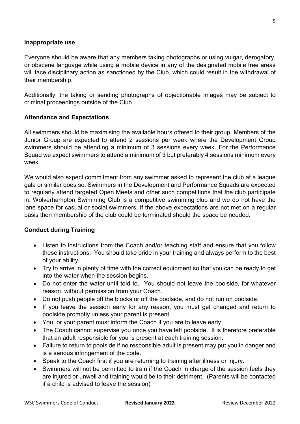#### Inappropriate use

Everyone should be aware that any members taking photographs or using vulgar, derogatory, or obscene language while using a mobile device in any of the designated mobile free areas will face disciplinary action as sanctioned by the Club, which could result in the withdrawal of their membership.

Additionally, the taking or sending photographs of objectionable images may be subject to criminal proceedings outside of the Club.

#### Attendance and Expectations

All swimmers should be maximising the available hours offered to their group. Members of the Junior Group are expected to attend 2 sessions per week where the Development Group swimmers should be attending a minimum of 3 sessions every week. For the Performance Squad we expect swimmers to attend a minimum of 3 but preferably 4 sessions minimum every week.

We would also expect commitment from any swimmer asked to represent the club at a league gala or similar does so. Swimmers in the Development and Performance Squads are expected to regularly attend targeted Open Meets and other such competitions that the club participate in. Wolverhampton Swimming Club is a competitive swimming club and we do not have the lane space for casual or social swimmers. If the above expectations are not met on a regular basis then membership of the club could be terminated should the space be needed.

#### Conduct during Training

- Listen to instructions from the Coach and/or teaching staff and ensure that you follow these instructions. You should take pride in your training and always perform to the best of your ability.
- Try to arrive in plenty of time with the correct equipment so that you can be ready to get into the water when the session begins.
- Do not enter the water until told to. You should not leave the poolside, for whatever reason, without permission from your Coach.
- Do not push people off the blocks or off the poolside, and do not run on poolside.
- If you leave the session early for any reason, you must get changed and return to poolside promptly unless your parent is present.
- You, or your parent must inform the Coach if you are to leave early.
- The Coach cannot supervise you once you have left poolside. It is therefore preferable that an adult responsible for you is present at each training session.
- Failure to return to poolside if no responsible adult is present may put you in danger and is a serious infringement of the code.
- Speak to the Coach first if you are returning to training after illness or injury.
- Swimmers will not be permitted to train if the Coach in charge of the session feels they are injured or unwell and training would be to their detriment. (Parents will be contacted if a child is advised to leave the session)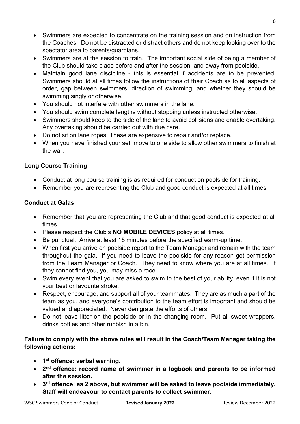- Swimmers are expected to concentrate on the training session and on instruction from the Coaches. Do not be distracted or distract others and do not keep looking over to the spectator area to parents/guardians.
- Swimmers are at the session to train. The important social side of being a member of the Club should take place before and after the session, and away from poolside.
- Maintain good lane discipline this is essential if accidents are to be prevented. Swimmers should at all times follow the instructions of their Coach as to all aspects of order, gap between swimmers, direction of swimming, and whether they should be swimming singly or otherwise.
- You should not interfere with other swimmers in the lane.
- You should swim complete lengths without stopping unless instructed otherwise.
- Swimmers should keep to the side of the lane to avoid collisions and enable overtaking. Any overtaking should be carried out with due care.
- Do not sit on lane ropes. These are expensive to repair and/or replace.
- When you have finished your set, move to one side to allow other swimmers to finish at the wall.

#### Long Course Training

- Conduct at long course training is as required for conduct on poolside for training.
- Remember you are representing the Club and good conduct is expected at all times.

#### Conduct at Galas

- Remember that you are representing the Club and that good conduct is expected at all times.
- Please respect the Club's **NO MOBILE DEVICES** policy at all times.
- Be punctual. Arrive at least 15 minutes before the specified warm-up time.
- When first you arrive on poolside report to the Team Manager and remain with the team throughout the gala. If you need to leave the poolside for any reason get permission from the Team Manager or Coach. They need to know where you are at all times. If they cannot find you, you may miss a race.
- Swim every event that you are asked to swim to the best of your ability, even if it is not your best or favourite stroke.
- Respect, encourage, and support all of your teammates. They are as much a part of the team as you, and everyone's contribution to the team effort is important and should be valued and appreciated. Never denigrate the efforts of others.
- Do not leave litter on the poolside or in the changing room. Put all sweet wrappers, drinks bottles and other rubbish in a bin.

#### Failure to comply with the above rules will result in the Coach/Team Manager taking the following actions:

- 1<sup>st</sup> offence: verbal warning.
- 2<sup>nd</sup> offence: record name of swimmer in a logbook and parents to be informed after the session.
- 3<sup>rd</sup> offence: as 2 above, but swimmer will be asked to leave poolside immediately. Staff will endeavour to contact parents to collect swimmer.